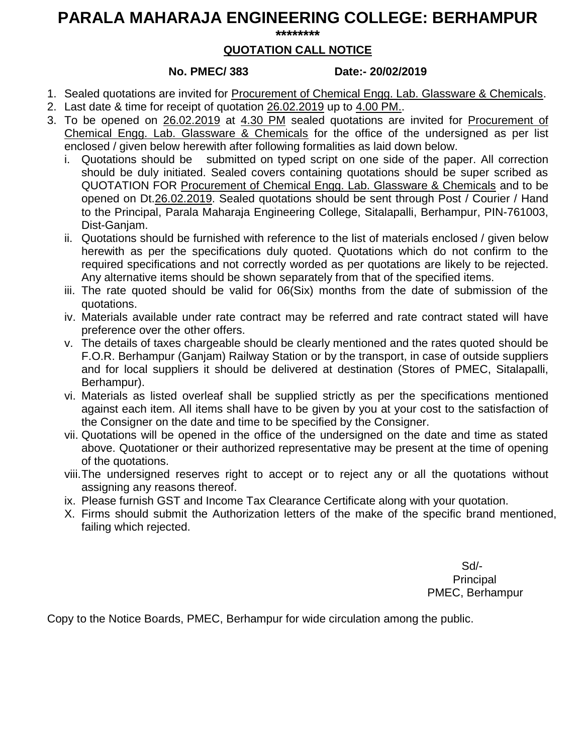# **PARALA MAHARAJA ENGINEERING COLLEGE: BERHAMPUR**

**\*\*\*\*\*\*\*\***

## **QUOTATION CALL NOTICE**

### **No. PMEC/ 383 Date:- 20/02/2019**

- 1. Sealed quotations are invited for Procurement of Chemical Engg. Lab. Glassware & Chemicals.
- 2. Last date & time for receipt of quotation 26.02.2019 up to 4.00 PM..
- 3. To be opened on 26.02.2019 at 4.30 PM sealed quotations are invited for Procurement of Chemical Engg. Lab. Glassware & Chemicals for the office of the undersigned as per list enclosed / given below herewith after following formalities as laid down below.
	- i. Quotations should be submitted on typed script on one side of the paper. All correction should be duly initiated. Sealed covers containing quotations should be super scribed as QUOTATION FOR Procurement of Chemical Engg. Lab. Glassware & Chemicals and to be opened on Dt.26.02.2019. Sealed quotations should be sent through Post / Courier / Hand to the Principal, Parala Maharaja Engineering College, Sitalapalli, Berhampur, PIN-761003, Dist-Ganjam.
	- ii. Quotations should be furnished with reference to the list of materials enclosed / given below herewith as per the specifications duly quoted. Quotations which do not confirm to the required specifications and not correctly worded as per quotations are likely to be rejected. Any alternative items should be shown separately from that of the specified items.
	- iii. The rate quoted should be valid for 06(Six) months from the date of submission of the quotations.
	- iv. Materials available under rate contract may be referred and rate contract stated will have preference over the other offers.
	- v. The details of taxes chargeable should be clearly mentioned and the rates quoted should be F.O.R. Berhampur (Ganjam) Railway Station or by the transport, in case of outside suppliers and for local suppliers it should be delivered at destination (Stores of PMEC, Sitalapalli, Berhampur).
	- vi. Materials as listed overleaf shall be supplied strictly as per the specifications mentioned against each item. All items shall have to be given by you at your cost to the satisfaction of the Consigner on the date and time to be specified by the Consigner.
	- vii. Quotations will be opened in the office of the undersigned on the date and time as stated above. Quotationer or their authorized representative may be present at the time of opening of the quotations.
	- viii.The undersigned reserves right to accept or to reject any or all the quotations without assigning any reasons thereof.
	- ix. Please furnish GST and Income Tax Clearance Certificate along with your quotation.
	- X. Firms should submit the Authorization letters of the make of the specific brand mentioned, failing which rejected.

Sd/- **Principal** PMEC, Berhampur

Copy to the Notice Boards, PMEC, Berhampur for wide circulation among the public.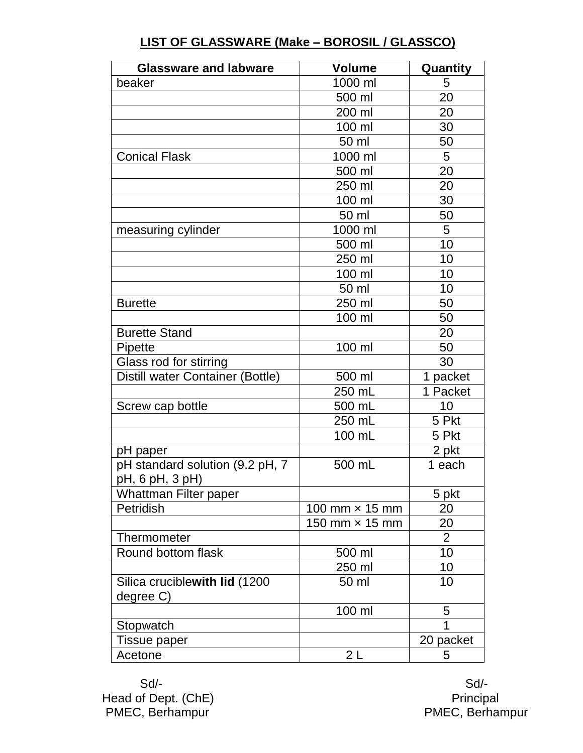| <b>Glassware and labware</b>                       | <b>Volume</b>         | Quantity       |
|----------------------------------------------------|-----------------------|----------------|
| beaker                                             | 1000 ml               | 5              |
|                                                    | 500 ml                | 20             |
|                                                    | 200 ml                | 20             |
|                                                    | 100 ml                | 30             |
|                                                    | 50 ml                 | 50             |
| <b>Conical Flask</b>                               | 1000 ml               | $5\phantom{1}$ |
|                                                    | 500 ml                | 20             |
|                                                    | 250 ml                | 20             |
|                                                    | 100 ml                | 30             |
|                                                    | 50 ml                 | 50             |
| measuring cylinder                                 | 1000 ml               | 5              |
|                                                    | 500 ml                | 10             |
|                                                    | 250 ml                | 10             |
|                                                    | 100 ml                | 10             |
|                                                    | 50 ml                 | 10             |
| <b>Burette</b>                                     | 250 ml                | 50             |
|                                                    | 100 ml                | 50             |
| <b>Burette Stand</b>                               |                       | 20             |
| Pipette                                            | 100 ml                | 50             |
| Glass rod for stirring                             |                       | 30             |
| Distill water Container (Bottle)                   | 500 ml                | 1 packet       |
|                                                    | 250 mL                | 1 Packet       |
| Screw cap bottle                                   | 500 mL                | 10             |
|                                                    | 250 mL                | 5 Pkt          |
|                                                    | 100 mL                | 5 Pkt          |
| pH paper                                           |                       | 2 pkt          |
| pH standard solution (9.2 pH, 7<br>pH, 6 pH, 3 pH) | 500 mL                | 1 each         |
| Whattman Filter paper                              |                       | 5 pkt          |
| Petridish                                          | 100 mm $\times$ 15 mm | 20             |
|                                                    | 150 mm $\times$ 15 mm | 20             |
| Thermometer                                        |                       | 2              |
| Round bottom flask                                 | 500 ml                | 10             |
|                                                    | 250 ml                | 10             |
| Silica cruciblewith lid (1200<br>degree C)         | 50 ml                 | 10             |
|                                                    | 100 ml                | 5              |
| Stopwatch                                          |                       | 1              |
| Tissue paper                                       |                       | 20 packet      |
| Acetone                                            | 2 L                   | 5              |

### **LIST OF GLASSWARE (Make – BOROSIL / GLASSCO)**

 Sd/- Sd/- Head of Dept. (ChE) example a set of the principal principal principal PMEC, Berhampur PMEC, Berhampur